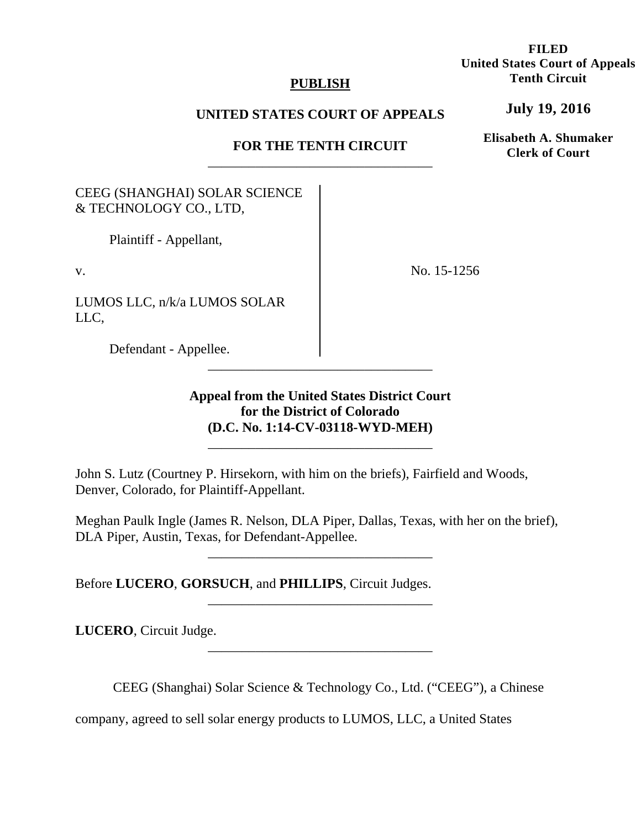## **PUBLISH**

## **UNITED STATES COURT OF APPEALS**

# **FOR THE TENTH CIRCUIT**  \_\_\_\_\_\_\_\_\_\_\_\_\_\_\_\_\_\_\_\_\_\_\_\_\_\_\_\_\_\_\_\_\_

# CEEG (SHANGHAI) SOLAR SCIENCE & TECHNOLOGY CO., LTD,

Plaintiff - Appellant,

v.

LUMOS LLC, n/k/a LUMOS SOLAR LLC,

Defendant - Appellee.

No. 15-1256

**Appeal from the United States District Court for the District of Colorado (D.C. No. 1:14-CV-03118-WYD-MEH)**

\_\_\_\_\_\_\_\_\_\_\_\_\_\_\_\_\_\_\_\_\_\_\_\_\_\_\_\_\_\_\_\_\_

\_\_\_\_\_\_\_\_\_\_\_\_\_\_\_\_\_\_\_\_\_\_\_\_\_\_\_\_\_\_\_\_\_

John S. Lutz (Courtney P. Hirsekorn, with him on the briefs), Fairfield and Woods, Denver, Colorado, for Plaintiff-Appellant.

Meghan Paulk Ingle (James R. Nelson, DLA Piper, Dallas, Texas, with her on the brief), DLA Piper, Austin, Texas, for Defendant-Appellee.

\_\_\_\_\_\_\_\_\_\_\_\_\_\_\_\_\_\_\_\_\_\_\_\_\_\_\_\_\_\_\_\_\_

\_\_\_\_\_\_\_\_\_\_\_\_\_\_\_\_\_\_\_\_\_\_\_\_\_\_\_\_\_\_\_\_\_

\_\_\_\_\_\_\_\_\_\_\_\_\_\_\_\_\_\_\_\_\_\_\_\_\_\_\_\_\_\_\_\_\_

Before **LUCERO**, **GORSUCH**, and **PHILLIPS**, Circuit Judges.

**LUCERO**, Circuit Judge.

CEEG (Shanghai) Solar Science & Technology Co., Ltd. ("CEEG"), a Chinese

company, agreed to sell solar energy products to LUMOS, LLC, a United States

**FILED United States Court of Appeals Tenth Circuit** 

**July 19, 2016**

**Elisabeth A. Shumaker Clerk of Court**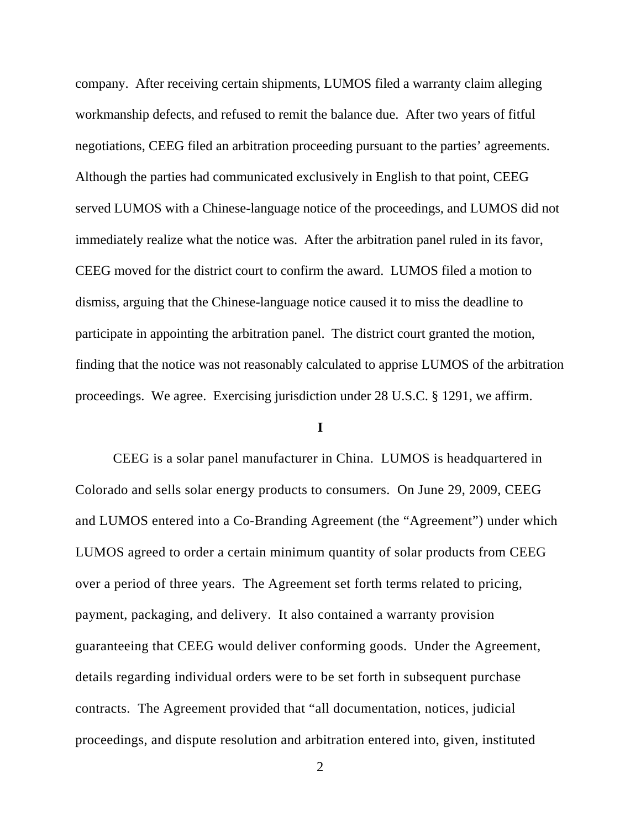company. After receiving certain shipments, LUMOS filed a warranty claim alleging workmanship defects, and refused to remit the balance due. After two years of fitful negotiations, CEEG filed an arbitration proceeding pursuant to the parties' agreements. Although the parties had communicated exclusively in English to that point, CEEG served LUMOS with a Chinese-language notice of the proceedings, and LUMOS did not immediately realize what the notice was. After the arbitration panel ruled in its favor, CEEG moved for the district court to confirm the award. LUMOS filed a motion to dismiss, arguing that the Chinese-language notice caused it to miss the deadline to participate in appointing the arbitration panel. The district court granted the motion, finding that the notice was not reasonably calculated to apprise LUMOS of the arbitration proceedings. We agree. Exercising jurisdiction under 28 U.S.C. § 1291, we affirm.

### **I**

CEEG is a solar panel manufacturer in China. LUMOS is headquartered in Colorado and sells solar energy products to consumers. On June 29, 2009, CEEG and LUMOS entered into a Co-Branding Agreement (the "Agreement") under which LUMOS agreed to order a certain minimum quantity of solar products from CEEG over a period of three years. The Agreement set forth terms related to pricing, payment, packaging, and delivery. It also contained a warranty provision guaranteeing that CEEG would deliver conforming goods. Under the Agreement, details regarding individual orders were to be set forth in subsequent purchase contracts. The Agreement provided that "all documentation, notices, judicial proceedings, and dispute resolution and arbitration entered into, given, instituted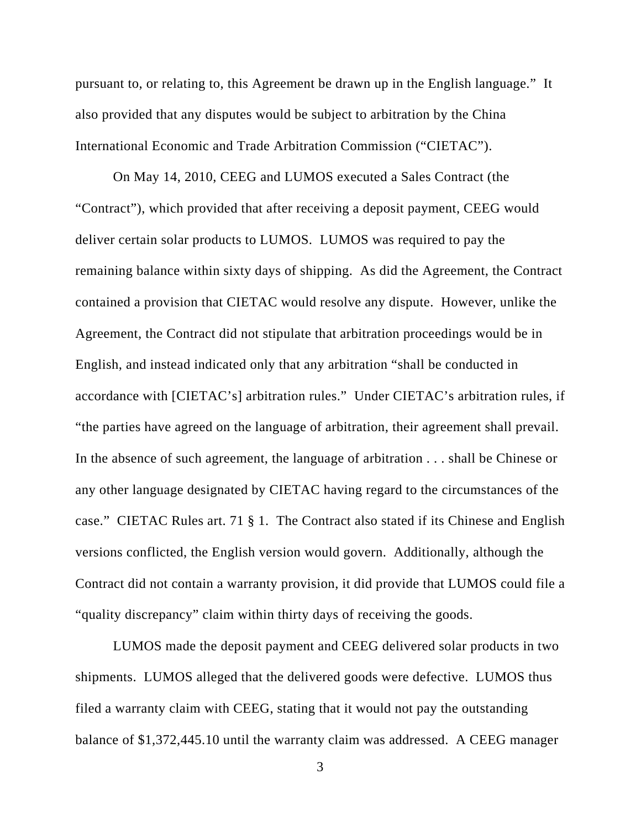pursuant to, or relating to, this Agreement be drawn up in the English language." It also provided that any disputes would be subject to arbitration by the China International Economic and Trade Arbitration Commission ("CIETAC").

On May 14, 2010, CEEG and LUMOS executed a Sales Contract (the "Contract"), which provided that after receiving a deposit payment, CEEG would deliver certain solar products to LUMOS. LUMOS was required to pay the remaining balance within sixty days of shipping. As did the Agreement, the Contract contained a provision that CIETAC would resolve any dispute. However, unlike the Agreement, the Contract did not stipulate that arbitration proceedings would be in English, and instead indicated only that any arbitration "shall be conducted in accordance with [CIETAC's] arbitration rules." Under CIETAC's arbitration rules, if "the parties have agreed on the language of arbitration, their agreement shall prevail. In the absence of such agreement, the language of arbitration . . . shall be Chinese or any other language designated by CIETAC having regard to the circumstances of the case." CIETAC Rules art. 71 § 1. The Contract also stated if its Chinese and English versions conflicted, the English version would govern. Additionally, although the Contract did not contain a warranty provision, it did provide that LUMOS could file a "quality discrepancy" claim within thirty days of receiving the goods.

LUMOS made the deposit payment and CEEG delivered solar products in two shipments. LUMOS alleged that the delivered goods were defective. LUMOS thus filed a warranty claim with CEEG, stating that it would not pay the outstanding balance of \$1,372,445.10 until the warranty claim was addressed. A CEEG manager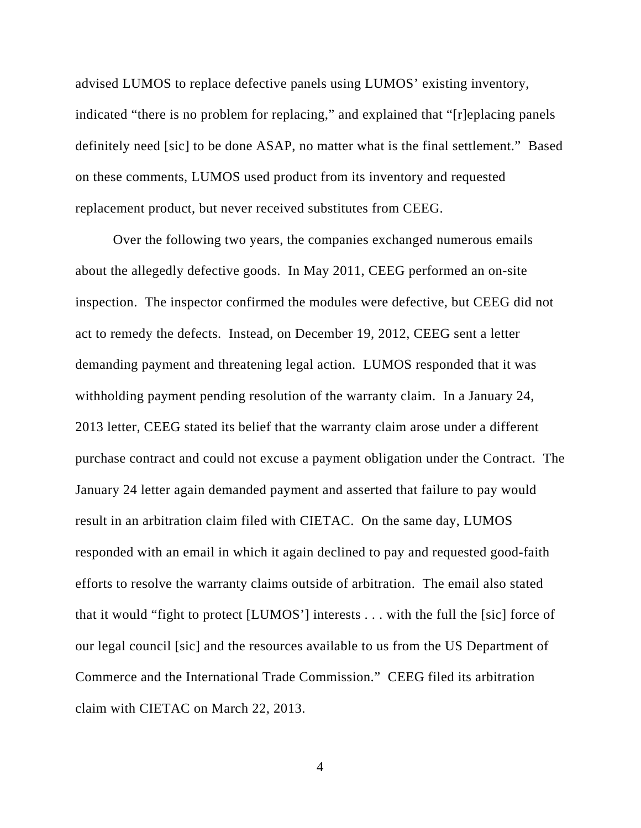advised LUMOS to replace defective panels using LUMOS' existing inventory, indicated "there is no problem for replacing," and explained that "[r]eplacing panels definitely need [sic] to be done ASAP, no matter what is the final settlement." Based on these comments, LUMOS used product from its inventory and requested replacement product, but never received substitutes from CEEG.

Over the following two years, the companies exchanged numerous emails about the allegedly defective goods. In May 2011, CEEG performed an on-site inspection. The inspector confirmed the modules were defective, but CEEG did not act to remedy the defects. Instead, on December 19, 2012, CEEG sent a letter demanding payment and threatening legal action. LUMOS responded that it was withholding payment pending resolution of the warranty claim. In a January 24, 2013 letter, CEEG stated its belief that the warranty claim arose under a different purchase contract and could not excuse a payment obligation under the Contract. The January 24 letter again demanded payment and asserted that failure to pay would result in an arbitration claim filed with CIETAC. On the same day, LUMOS responded with an email in which it again declined to pay and requested good-faith efforts to resolve the warranty claims outside of arbitration. The email also stated that it would "fight to protect [LUMOS'] interests . . . with the full the [sic] force of our legal council [sic] and the resources available to us from the US Department of Commerce and the International Trade Commission." CEEG filed its arbitration claim with CIETAC on March 22, 2013.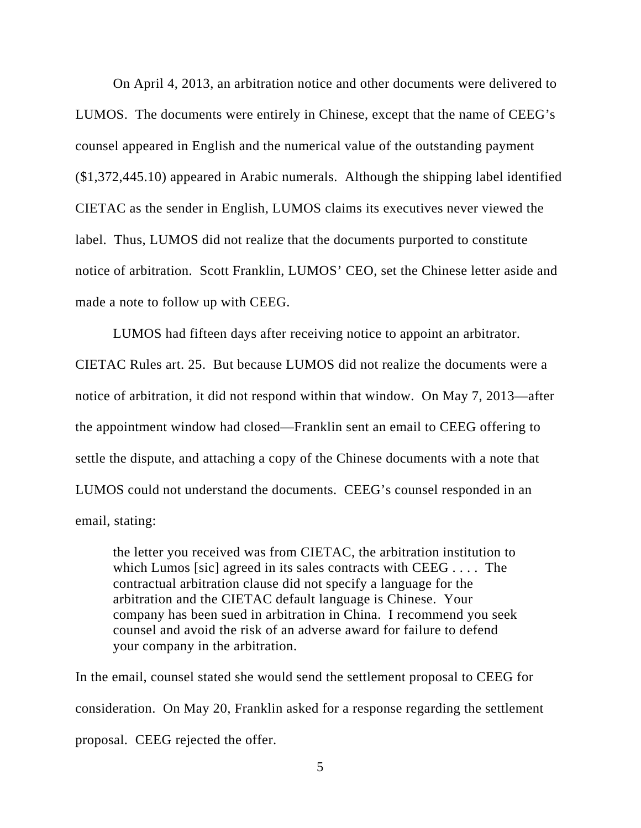On April 4, 2013, an arbitration notice and other documents were delivered to LUMOS. The documents were entirely in Chinese, except that the name of CEEG's counsel appeared in English and the numerical value of the outstanding payment (\$1,372,445.10) appeared in Arabic numerals. Although the shipping label identified CIETAC as the sender in English, LUMOS claims its executives never viewed the label. Thus, LUMOS did not realize that the documents purported to constitute notice of arbitration. Scott Franklin, LUMOS' CEO, set the Chinese letter aside and made a note to follow up with CEEG.

LUMOS had fifteen days after receiving notice to appoint an arbitrator. CIETAC Rules art. 25. But because LUMOS did not realize the documents were a notice of arbitration, it did not respond within that window. On May 7, 2013—after the appointment window had closed—Franklin sent an email to CEEG offering to settle the dispute, and attaching a copy of the Chinese documents with a note that LUMOS could not understand the documents. CEEG's counsel responded in an email, stating:

the letter you received was from CIETAC, the arbitration institution to which Lumos [sic] agreed in its sales contracts with CEEG . . . . The contractual arbitration clause did not specify a language for the arbitration and the CIETAC default language is Chinese. Your company has been sued in arbitration in China. I recommend you seek counsel and avoid the risk of an adverse award for failure to defend your company in the arbitration.

In the email, counsel stated she would send the settlement proposal to CEEG for consideration. On May 20, Franklin asked for a response regarding the settlement proposal. CEEG rejected the offer.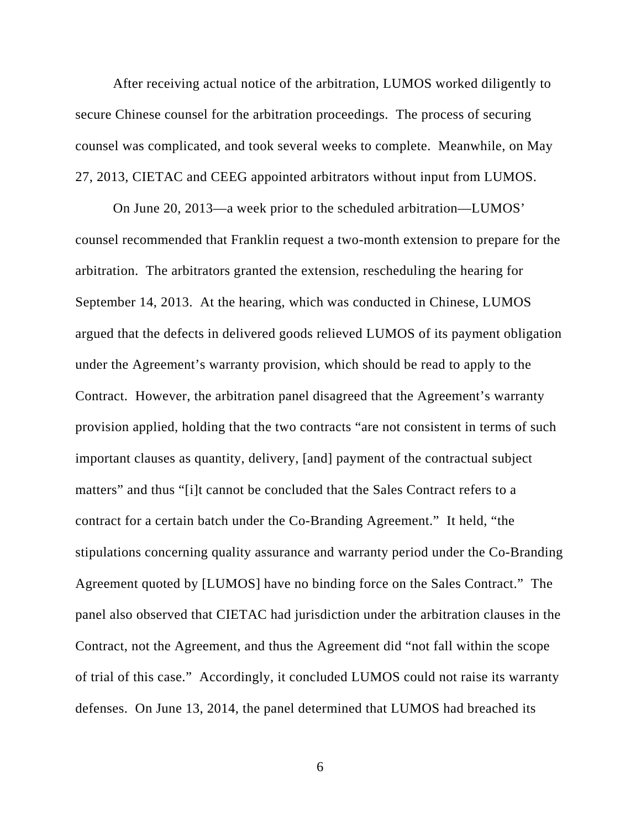After receiving actual notice of the arbitration, LUMOS worked diligently to secure Chinese counsel for the arbitration proceedings. The process of securing counsel was complicated, and took several weeks to complete. Meanwhile, on May 27, 2013, CIETAC and CEEG appointed arbitrators without input from LUMOS.

On June 20, 2013—a week prior to the scheduled arbitration—LUMOS' counsel recommended that Franklin request a two-month extension to prepare for the arbitration. The arbitrators granted the extension, rescheduling the hearing for September 14, 2013. At the hearing, which was conducted in Chinese, LUMOS argued that the defects in delivered goods relieved LUMOS of its payment obligation under the Agreement's warranty provision, which should be read to apply to the Contract. However, the arbitration panel disagreed that the Agreement's warranty provision applied, holding that the two contracts "are not consistent in terms of such important clauses as quantity, delivery, [and] payment of the contractual subject matters" and thus "[i]t cannot be concluded that the Sales Contract refers to a contract for a certain batch under the Co-Branding Agreement." It held, "the stipulations concerning quality assurance and warranty period under the Co-Branding Agreement quoted by [LUMOS] have no binding force on the Sales Contract." The panel also observed that CIETAC had jurisdiction under the arbitration clauses in the Contract, not the Agreement, and thus the Agreement did "not fall within the scope of trial of this case." Accordingly, it concluded LUMOS could not raise its warranty defenses. On June 13, 2014, the panel determined that LUMOS had breached its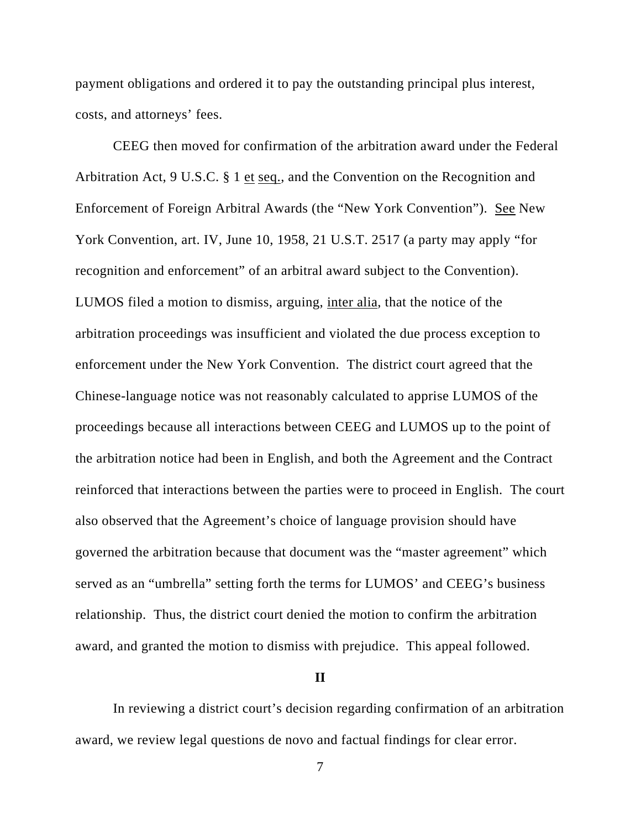payment obligations and ordered it to pay the outstanding principal plus interest, costs, and attorneys' fees.

CEEG then moved for confirmation of the arbitration award under the Federal Arbitration Act, 9 U.S.C. § 1 et seq., and the Convention on the Recognition and Enforcement of Foreign Arbitral Awards (the "New York Convention"). See New York Convention, art. IV, June 10, 1958, 21 U.S.T. 2517 (a party may apply "for recognition and enforcement" of an arbitral award subject to the Convention). LUMOS filed a motion to dismiss, arguing, inter alia, that the notice of the arbitration proceedings was insufficient and violated the due process exception to enforcement under the New York Convention. The district court agreed that the Chinese-language notice was not reasonably calculated to apprise LUMOS of the proceedings because all interactions between CEEG and LUMOS up to the point of the arbitration notice had been in English, and both the Agreement and the Contract reinforced that interactions between the parties were to proceed in English. The court also observed that the Agreement's choice of language provision should have governed the arbitration because that document was the "master agreement" which served as an "umbrella" setting forth the terms for LUMOS' and CEEG's business relationship. Thus, the district court denied the motion to confirm the arbitration award, and granted the motion to dismiss with prejudice. This appeal followed.

#### **II**

In reviewing a district court's decision regarding confirmation of an arbitration award, we review legal questions de novo and factual findings for clear error.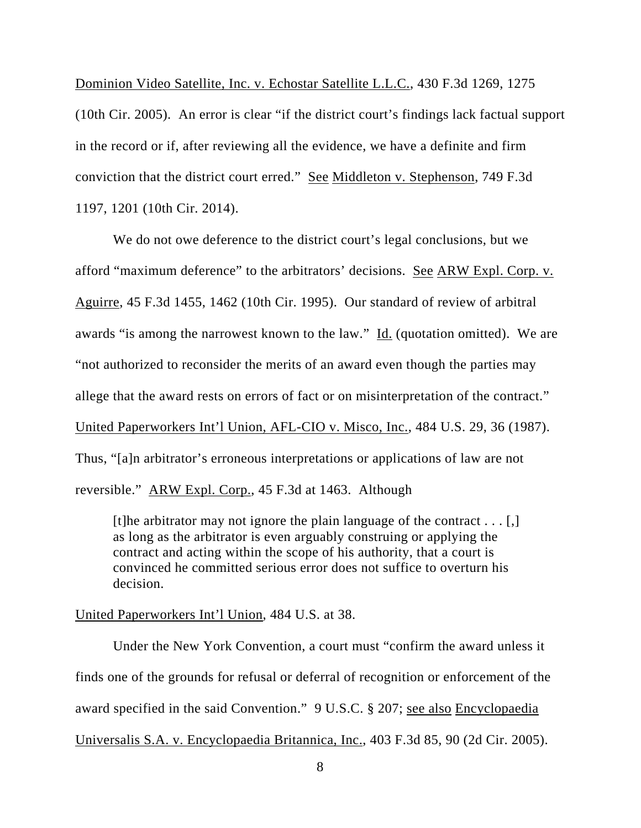Dominion Video Satellite, Inc. v. Echostar Satellite L.L.C., 430 F.3d 1269, 1275 (10th Cir. 2005). An error is clear "if the district court's findings lack factual support in the record or if, after reviewing all the evidence, we have a definite and firm conviction that the district court erred." See Middleton v. Stephenson, 749 F.3d 1197, 1201 (10th Cir. 2014).

We do not owe deference to the district court's legal conclusions, but we afford "maximum deference" to the arbitrators' decisions. See ARW Expl. Corp. v. Aguirre, 45 F.3d 1455, 1462 (10th Cir. 1995). Our standard of review of arbitral awards "is among the narrowest known to the law." Id. (quotation omitted). We are "not authorized to reconsider the merits of an award even though the parties may allege that the award rests on errors of fact or on misinterpretation of the contract." United Paperworkers Int'l Union, AFL-CIO v. Misco, Inc., 484 U.S. 29, 36 (1987). Thus, "[a]n arbitrator's erroneous interpretations or applications of law are not reversible." ARW Expl. Corp., 45 F.3d at 1463.Although

[t]he arbitrator may not ignore the plain language of the contract . . . [,] as long as the arbitrator is even arguably construing or applying the contract and acting within the scope of his authority, that a court is convinced he committed serious error does not suffice to overturn his decision.

United Paperworkers Int'l Union, 484 U.S. at 38.

Under the New York Convention, a court must "confirm the award unless it finds one of the grounds for refusal or deferral of recognition or enforcement of the award specified in the said Convention." 9 U.S.C. § 207; see also Encyclopaedia Universalis S.A. v. Encyclopaedia Britannica, Inc., 403 F.3d 85, 90 (2d Cir. 2005).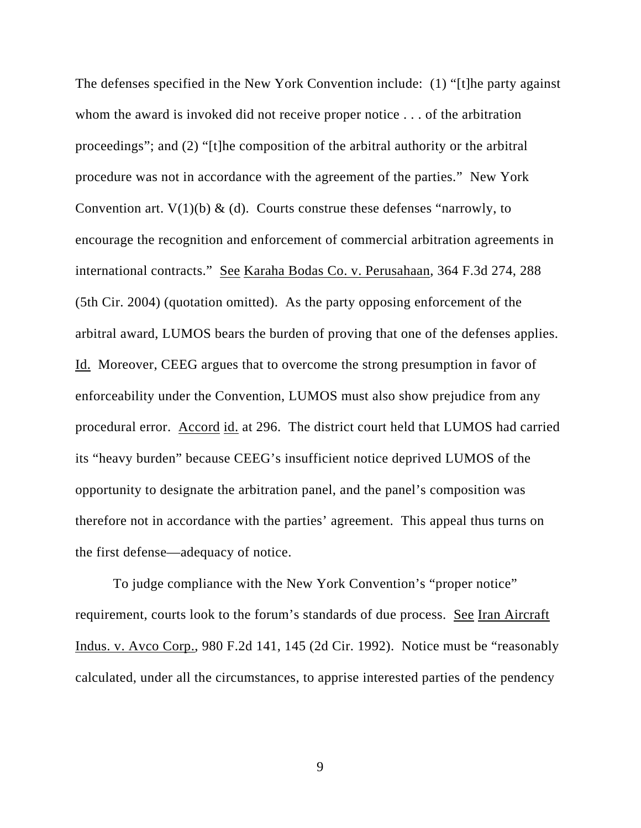The defenses specified in the New York Convention include: (1) "[t]he party against whom the award is invoked did not receive proper notice . . . of the arbitration proceedings"; and (2) "[t]he composition of the arbitral authority or the arbitral procedure was not in accordance with the agreement of the parties." New York Convention art.  $V(1)(b) \& (d)$ . Courts construe these defenses "narrowly, to encourage the recognition and enforcement of commercial arbitration agreements in international contracts." See Karaha Bodas Co. v. Perusahaan, 364 F.3d 274, 288 (5th Cir. 2004) (quotation omitted). As the party opposing enforcement of the arbitral award, LUMOS bears the burden of proving that one of the defenses applies. Id. Moreover, CEEG argues that to overcome the strong presumption in favor of enforceability under the Convention, LUMOS must also show prejudice from any procedural error. Accord id. at 296. The district court held that LUMOS had carried its "heavy burden" because CEEG's insufficient notice deprived LUMOS of the opportunity to designate the arbitration panel, and the panel's composition was therefore not in accordance with the parties' agreement. This appeal thus turns on the first defense—adequacy of notice.

To judge compliance with the New York Convention's "proper notice" requirement, courts look to the forum's standards of due process. See Iran Aircraft Indus. v. Avco Corp., 980 F.2d 141, 145 (2d Cir. 1992). Notice must be "reasonably calculated, under all the circumstances, to apprise interested parties of the pendency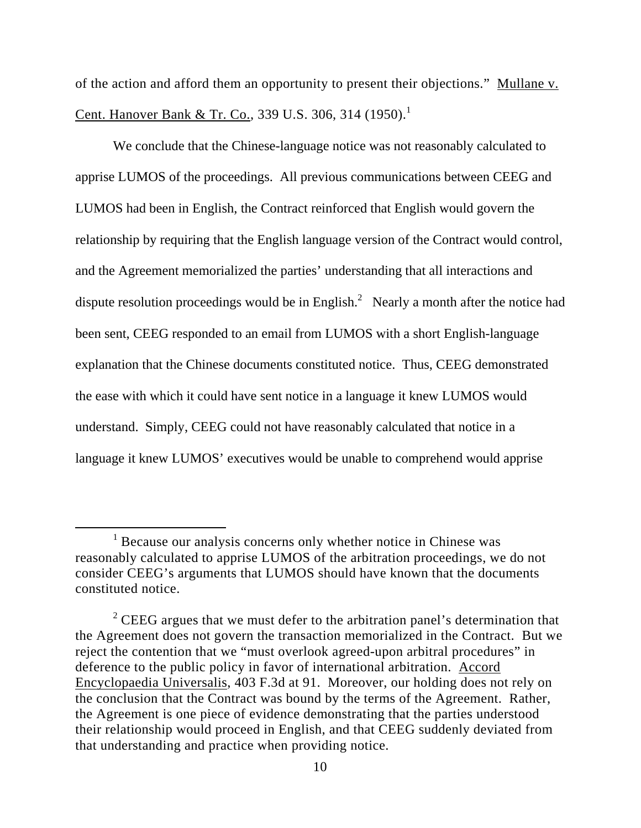of the action and afford them an opportunity to present their objections." Mullane v. <u>Cent. Hanover Bank & Tr. Co.</u>, 339 U.S. 306, 314  $(1950).$ <sup>1</sup>

 We conclude that the Chinese-language notice was not reasonably calculated to apprise LUMOS of the proceedings. All previous communications between CEEG and LUMOS had been in English, the Contract reinforced that English would govern the relationship by requiring that the English language version of the Contract would control, and the Agreement memorialized the parties' understanding that all interactions and dispute resolution proceedings would be in English.<sup>2</sup> Nearly a month after the notice had been sent, CEEG responded to an email from LUMOS with a short English-language explanation that the Chinese documents constituted notice. Thus, CEEG demonstrated the ease with which it could have sent notice in a language it knew LUMOS would understand. Simply, CEEG could not have reasonably calculated that notice in a language it knew LUMOS' executives would be unable to comprehend would apprise

<sup>&</sup>lt;u>1</u> <sup>1</sup> Because our analysis concerns only whether notice in Chinese was reasonably calculated to apprise LUMOS of the arbitration proceedings, we do not consider CEEG's arguments that LUMOS should have known that the documents constituted notice.

<sup>&</sup>lt;sup>2</sup> CEEG argues that we must defer to the arbitration panel's determination that the Agreement does not govern the transaction memorialized in the Contract. But we reject the contention that we "must overlook agreed-upon arbitral procedures" in deference to the public policy in favor of international arbitration. Accord Encyclopaedia Universalis, 403 F.3d at 91. Moreover, our holding does not rely on the conclusion that the Contract was bound by the terms of the Agreement. Rather, the Agreement is one piece of evidence demonstrating that the parties understood their relationship would proceed in English, and that CEEG suddenly deviated from that understanding and practice when providing notice.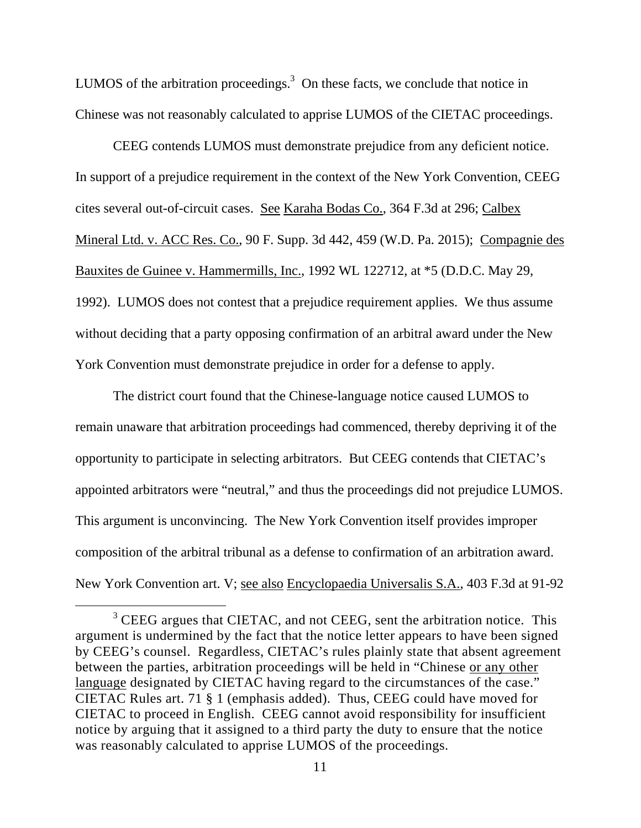LUMOS of the arbitration proceedings. $3$  On these facts, we conclude that notice in Chinese was not reasonably calculated to apprise LUMOS of the CIETAC proceedings.

 CEEG contends LUMOS must demonstrate prejudice from any deficient notice. In support of a prejudice requirement in the context of the New York Convention, CEEG cites several out-of-circuit cases. See Karaha Bodas Co., 364 F.3d at 296; Calbex Mineral Ltd. v. ACC Res. Co., 90 F. Supp. 3d 442, 459 (W.D. Pa. 2015); Compagnie des Bauxites de Guinee v. Hammermills, Inc., 1992 WL 122712, at \*5 (D.D.C. May 29, 1992). LUMOS does not contest that a prejudice requirement applies. We thus assume without deciding that a party opposing confirmation of an arbitral award under the New York Convention must demonstrate prejudice in order for a defense to apply.

The district court found that the Chinese-language notice caused LUMOS to remain unaware that arbitration proceedings had commenced, thereby depriving it of the opportunity to participate in selecting arbitrators. But CEEG contends that CIETAC's appointed arbitrators were "neutral," and thus the proceedings did not prejudice LUMOS. This argument is unconvincing. The New York Convention itself provides improper composition of the arbitral tribunal as a defense to confirmation of an arbitration award. New York Convention art. V; see also Encyclopaedia Universalis S.A., 403 F.3d at 91-92

 $\frac{1}{3}$ <sup>3</sup> CEEG argues that CIETAC, and not CEEG, sent the arbitration notice. This argument is undermined by the fact that the notice letter appears to have been signed by CEEG's counsel. Regardless, CIETAC's rules plainly state that absent agreement between the parties, arbitration proceedings will be held in "Chinese or any other language designated by CIETAC having regard to the circumstances of the case." CIETAC Rules art. 71 § 1 (emphasis added). Thus, CEEG could have moved for CIETAC to proceed in English. CEEG cannot avoid responsibility for insufficient notice by arguing that it assigned to a third party the duty to ensure that the notice was reasonably calculated to apprise LUMOS of the proceedings.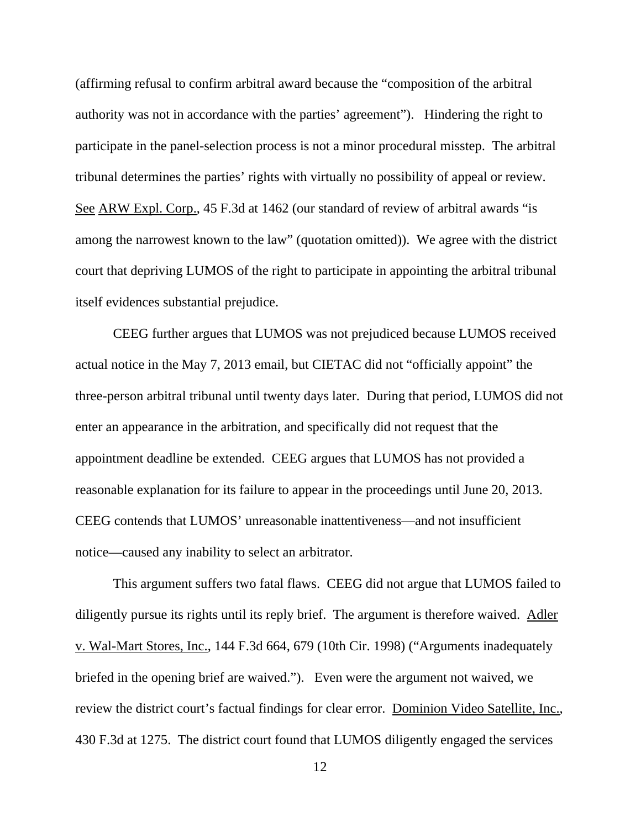(affirming refusal to confirm arbitral award because the "composition of the arbitral authority was not in accordance with the parties' agreement"). Hindering the right to participate in the panel-selection process is not a minor procedural misstep. The arbitral tribunal determines the parties' rights with virtually no possibility of appeal or review. See ARW Expl. Corp., 45 F.3d at 1462 (our standard of review of arbitral awards "is among the narrowest known to the law" (quotation omitted)). We agree with the district court that depriving LUMOS of the right to participate in appointing the arbitral tribunal itself evidences substantial prejudice.

CEEG further argues that LUMOS was not prejudiced because LUMOS received actual notice in the May 7, 2013 email, but CIETAC did not "officially appoint" the three-person arbitral tribunal until twenty days later. During that period, LUMOS did not enter an appearance in the arbitration, and specifically did not request that the appointment deadline be extended. CEEG argues that LUMOS has not provided a reasonable explanation for its failure to appear in the proceedings until June 20, 2013. CEEG contends that LUMOS' unreasonable inattentiveness—and not insufficient notice—caused any inability to select an arbitrator.

This argument suffers two fatal flaws. CEEG did not argue that LUMOS failed to diligently pursue its rights until its reply brief. The argument is therefore waived. Adler v. Wal-Mart Stores, Inc., 144 F.3d 664, 679 (10th Cir. 1998) ("Arguments inadequately briefed in the opening brief are waived."). Even were the argument not waived, we review the district court's factual findings for clear error. Dominion Video Satellite, Inc., 430 F.3d at 1275. The district court found that LUMOS diligently engaged the services